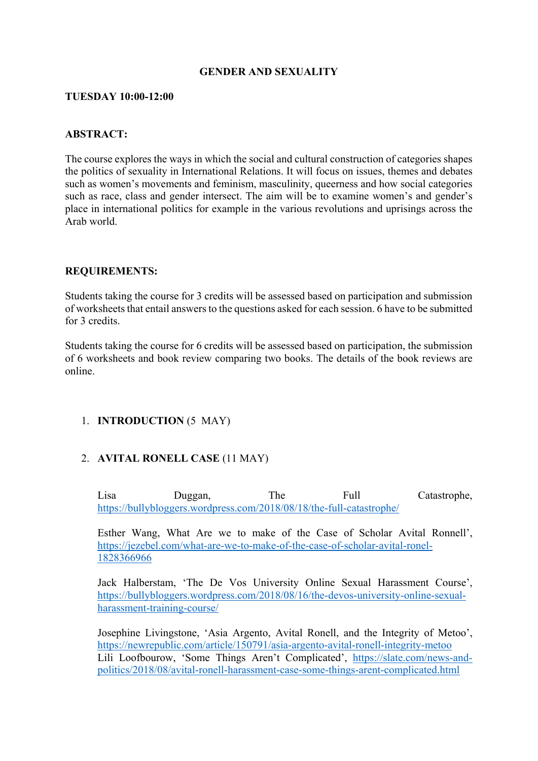### **GENDER AND SEXUALITY**

#### **TUESDAY 10:00-12:00**

### **ABSTRACT:**

The course explores the ways in which the social and cultural construction of categories shapes the politics of sexuality in International Relations. It will focus on issues, themes and debates such as women's movements and feminism, masculinity, queerness and how social categories such as race, class and gender intersect. The aim will be to examine women's and gender's place in international politics for example in the various revolutions and uprisings across the Arab world.

#### **REQUIREMENTS:**

Students taking the course for 3 credits will be assessed based on participation and submission of worksheets that entail answers to the questions asked for each session. 6 have to be submitted for 3 credits.

Students taking the course for 6 credits will be assessed based on participation, the submission of 6 worksheets and book review comparing two books. The details of the book reviews are online.

# 1. **INTRODUCTION** (5 MAY)

# 2. **AVITAL RONELL CASE** (11 MAY)

Lisa Duggan, The Full Catastrophe, https://bullybloggers.wordpress.com/2018/08/18/the-full-catastrophe/

Esther Wang, What Are we to make of the Case of Scholar Avital Ronnell', https://jezebel.com/what-are-we-to-make-of-the-case-of-scholar-avital-ronel-1828366966

Jack Halberstam, 'The De Vos University Online Sexual Harassment Course', https://bullybloggers.wordpress.com/2018/08/16/the-devos-university-online-sexualharassment-training-course/

Josephine Livingstone, 'Asia Argento, Avital Ronell, and the Integrity of Metoo', https://newrepublic.com/article/150791/asia-argento-avital-ronell-integrity-metoo Lili Loofbourow, 'Some Things Aren't Complicated', https://slate.com/news-andpolitics/2018/08/avital-ronell-harassment-case-some-things-arent-complicated.html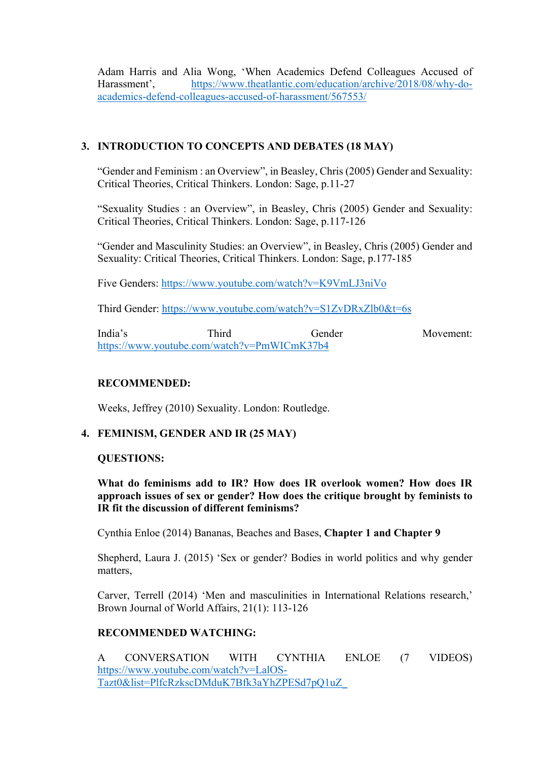Adam Harris and Alia Wong, 'When Academics Defend Colleagues Accused of Harassment', https://www.theatlantic.com/education/archive/2018/08/why-doacademics-defend-colleagues-accused-of-harassment/567553/

# **3. INTRODUCTION TO CONCEPTS AND DEBATES (18 MAY)**

"Gender and Feminism : an Overview", in Beasley, Chris (2005) Gender and Sexuality: Critical Theories, Critical Thinkers. London: Sage, p.11-27

"Sexuality Studies : an Overview", in Beasley, Chris (2005) Gender and Sexuality: Critical Theories, Critical Thinkers. London: Sage, p.117-126

"Gender and Masculinity Studies: an Overview", in Beasley, Chris (2005) Gender and Sexuality: Critical Theories, Critical Thinkers. London: Sage, p.177-185

Five Genders: https://www.youtube.com/watch?v=K9VmLJ3niVo

Third Gender: https://www.youtube.com/watch?v=S1ZvDRxZlb0&t=6s

India's Third Gender Movement: https://www.youtube.com/watch?v=PmWICmK37b4

# **RECOMMENDED:**

Weeks, Jeffrey (2010) Sexuality. London: Routledge.

# **4. FEMINISM, GENDER AND IR (25 MAY)**

#### **QUESTIONS:**

**What do feminisms add to IR? How does IR overlook women? How does IR approach issues of sex or gender? How does the critique brought by feminists to IR fit the discussion of different feminisms?** 

Cynthia Enloe (2014) Bananas, Beaches and Bases, **Chapter 1 and Chapter 9**

Shepherd, Laura J. (2015) 'Sex or gender? Bodies in world politics and why gender matters,

Carver, Terrell (2014) 'Men and masculinities in International Relations research,' Brown Journal of World Affairs, 21(1): 113-126

# **RECOMMENDED WATCHING:**

A CONVERSATION WITH CYNTHIA ENLOE (7 VIDEOS) https://www.youtube.com/watch?v=LalOS-Tazt0&list=PlfcRzkscDMduK7Bfk3aYhZPESd7pQ1uZ\_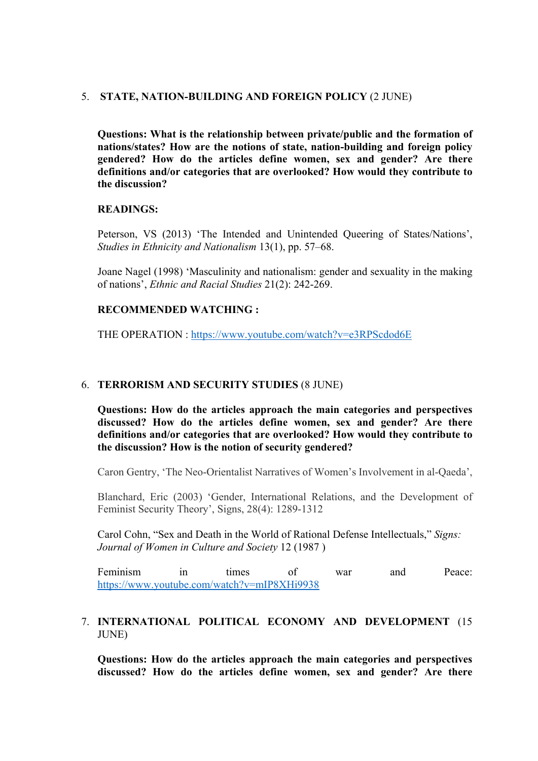#### 5. **STATE, NATION-BUILDING AND FOREIGN POLICY** (2 JUNE)

**Questions: What is the relationship between private/public and the formation of nations/states? How are the notions of state, nation-building and foreign policy gendered? How do the articles define women, sex and gender? Are there definitions and/or categories that are overlooked? How would they contribute to the discussion?** 

#### **READINGS:**

Peterson, VS (2013) 'The Intended and Unintended Queering of States/Nations', *Studies in Ethnicity and Nationalism* 13(1), pp. 57–68.

Joane Nagel (1998) 'Masculinity and nationalism: gender and sexuality in the making of nations', *Ethnic and Racial Studies* 21(2): 242-269.

#### **RECOMMENDED WATCHING :**

THE OPERATION : https://www.youtube.com/watch?v=e3RPScdod6E

### 6. **TERRORISM AND SECURITY STUDIES** (8 JUNE)

**Questions: How do the articles approach the main categories and perspectives discussed? How do the articles define women, sex and gender? Are there definitions and/or categories that are overlooked? How would they contribute to the discussion? How is the notion of security gendered?** 

Caron Gentry, 'The Neo-Orientalist Narratives of Women's Involvement in al-Qaeda',

Blanchard, Eric (2003) 'Gender, International Relations, and the Development of Feminist Security Theory', Signs, 28(4): 1289-1312

Carol Cohn, "Sex and Death in the World of Rational Defense Intellectuals," *Signs: Journal of Women in Culture and Society* 12 (1987 )

Feminism in times of war and Peace: https://www.youtube.com/watch?v=mIP8XHi9938

### 7. **INTERNATIONAL POLITICAL ECONOMY AND DEVELOPMENT** (15 JUNE)

**Questions: How do the articles approach the main categories and perspectives discussed? How do the articles define women, sex and gender? Are there**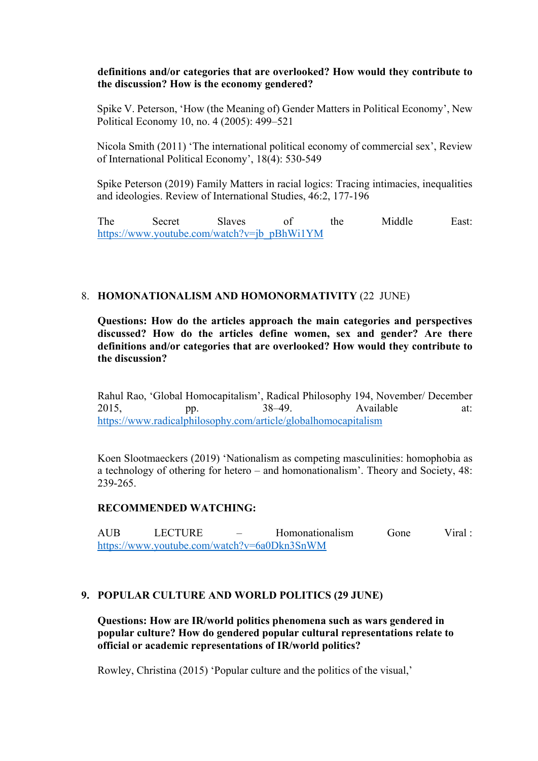### **definitions and/or categories that are overlooked? How would they contribute to the discussion? How is the economy gendered?**

Spike V. Peterson, 'How (the Meaning of) Gender Matters in Political Economy', New Political Economy 10, no. 4 (2005): 499–521

Nicola Smith (2011) 'The international political economy of commercial sex', Review of International Political Economy', 18(4): 530-549

Spike Peterson (2019) Family Matters in racial logics: Tracing intimacies, inequalities and ideologies. Review of International Studies, 46:2, 177-196

The Secret Slaves of the Middle East: https://www.youtube.com/watch?v=jb\_pBhWi1YM

#### 8. **HOMONATIONALISM AND HOMONORMATIVITY** (22 JUNE)

**Questions: How do the articles approach the main categories and perspectives discussed? How do the articles define women, sex and gender? Are there definitions and/or categories that are overlooked? How would they contribute to the discussion?** 

Rahul Rao, 'Global Homocapitalism', Radical Philosophy 194, November/ December 2015, pp. 38–49. Available at: https://www.radicalphilosophy.com/article/globalhomocapitalism

Koen Slootmaeckers (2019) 'Nationalism as competing masculinities: homophobia as a technology of othering for hetero – and homonationalism'. Theory and Society, 48: 239-265.

#### **RECOMMENDED WATCHING:**

AUB LECTURE – Homonationalism Gone Viral : https://www.youtube.com/watch?v=6a0Dkn3SnWM

# **9. POPULAR CULTURE AND WORLD POLITICS (29 JUNE)**

**Questions: How are IR/world politics phenomena such as wars gendered in popular culture? How do gendered popular cultural representations relate to official or academic representations of IR/world politics?** 

Rowley, Christina (2015) 'Popular culture and the politics of the visual,'